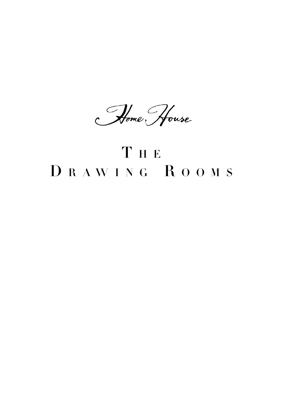Home House

# THE DRAWING ROOMS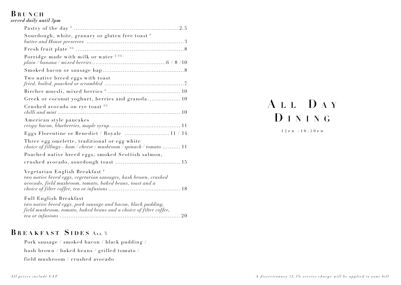### BRUNCH

| served daily until 3pm |  |  |  |
|------------------------|--|--|--|
|------------------------|--|--|--|

| Sourdough, white, granary or gluten free toast $V$                                                                                                                        |
|---------------------------------------------------------------------------------------------------------------------------------------------------------------------------|
|                                                                                                                                                                           |
| Porridge made with milk or water V/VG                                                                                                                                     |
|                                                                                                                                                                           |
| Two native breed eggs with toast                                                                                                                                          |
|                                                                                                                                                                           |
| Greek or coconut yoghurt, berries and granola 10                                                                                                                          |
| Crushed avocado on rye toast VG                                                                                                                                           |
| American style pancakes                                                                                                                                                   |
| Eggs Florentine or Benedict / Royale  11 / 14                                                                                                                             |
| Three egg omelette, traditional or egg white<br>choice of fillings - ham / cheese / mushroom / spinach / tomato  11                                                       |
| Poached native breed eggs, smoked Scottish salmon,                                                                                                                        |
|                                                                                                                                                                           |
| Vegetarian English Breakfast <sup>V</sup><br>two native breed eggs, vegetarian sausages, hash brown, crushed<br>avocado, field mushroom, tomato, baked beans, toast and a |
| Full English Breakfast<br>two native breed eggs, pork sausage and bacon, black pudding,<br>field mushroom, tomato, baked beans and a choice of filter coffee,             |

### BREAKFAST SIDES ALL 3

Pork sausage / smoked bacon / black pudding / hash brown / baked beans / grilled tomato / field mushroom / crushed avocado

# ALL DAY DINING

 $12 P M - 10:30 P M$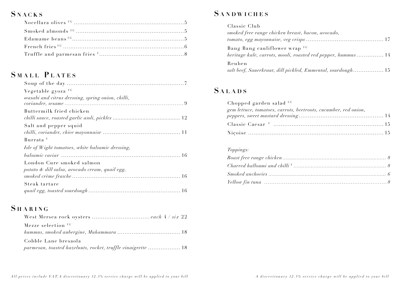# **SNACKS**

# SMALL PLATES

| Vegetable gyoza VG                                |
|---------------------------------------------------|
| wasabi and citrus dressing, spring onion, chilli, |
|                                                   |
| Buttermilk fried chicken                          |
|                                                   |
| Salt and pepper squid                             |
|                                                   |
| Burrata <sup>V</sup>                              |
| Isle of Wight tomatoes, white balsamic dressing,  |
|                                                   |
| London Cure smoked salmon                         |
| potato & dill salsa, avocado cream, quail egg,    |
|                                                   |
| Steak tartare                                     |
|                                                   |

# SHARING

| Mezze selection $V$ <sup>rc</sup>                            |
|--------------------------------------------------------------|
|                                                              |
| Cobble Lane bresaola                                         |
| parmesan, toasted hazelnuts, rocket, truffle vinaigrette  18 |

# **SANDWICHES**

| Classic Club                                                 |
|--------------------------------------------------------------|
| smoked free range chicken breast, bacon, avocado,            |
|                                                              |
| Bang Bang cauliflower wrap VG                                |
| heritage kale, carrots, mooli, roasted red pepper, hummus 14 |
| Reuben                                                       |
| salt beef, Sauerkraut, dill pickled, Emmental, sourdough 15  |

## **SALADS**

| Chopped garden salad $^{VG}$                                    |  |
|-----------------------------------------------------------------|--|
| gem lettuce, tomatoes, carrots, beetroots, cucumber, red onion, |  |
|                                                                 |  |
|                                                                 |  |
|                                                                 |  |

#### Toppings:

| $Smoked\ an choice s \dots 6$ |  |
|-------------------------------|--|
|                               |  |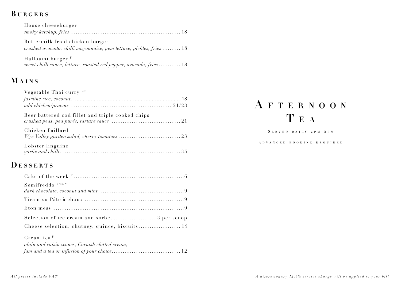# BURGERS

| House cheeseburger                                                                                     |  |
|--------------------------------------------------------------------------------------------------------|--|
|                                                                                                        |  |
| Buttermilk fried chicken burger<br>crushed avocado, chilli mayonnaise, gem lettuce, pickles, fries  18 |  |

Halloumi burger<sup>V</sup> sweet chilli sauce, lettuce, roasted red pepper, avocado, fries ............ 18

# MAINS

| Vegetable Thai curry $V$ <sup>rc</sup>           |  |
|--------------------------------------------------|--|
|                                                  |  |
| Beer battered cod fillet and triple cooked chips |  |
| Chicken Paillard                                 |  |
| Lobster linguine                                 |  |

### **DESSERTS**

| Semifreddo VG/GF                               |  |
|------------------------------------------------|--|
|                                                |  |
|                                                |  |
| Selection of ice cream and sorbet 3 per scoop  |  |
| Cheese selection, chutney, quince, biscuits 14 |  |
| – Cream tea $^V$                               |  |

| plain and raisin scones, Cornish clotted cream, |
|-------------------------------------------------|
|                                                 |

# AFTERNOON TEA

SERVED DAILY 2PM - 5PM

#### A D V A N C E D B O O K I N G R E Q U I R E D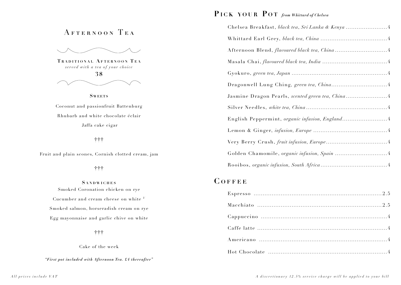## AFTERNOON TEA

TRADITIONAL AFTERNOON TEA served with a tea of your choice



**SWEETS** 

Coconut and passionfruit Battenburg Rhubarb and white chocolate éclair Jaffa cake cigar

十十十

Fruit and plain scones, Cornish clotted cream, jam

#### 十十十

**SANDWICHES** Smoked Coronation chicken on rye Cucumber and cream cheese on white V Smoked salmon, horseradish cream on rye Egg mayonnaise and garlic chive on white

十十十

Cake of the week

"First pot included with Afternoon Tea. £4 thereafter"

### PICK YOUR POT from Whittard of Chelsea

| Chelsea Breakfast, black tea, Sri Lanka & Kenya 4 |  |
|---------------------------------------------------|--|
|                                                   |  |
|                                                   |  |
|                                                   |  |
|                                                   |  |
|                                                   |  |
|                                                   |  |
|                                                   |  |
| English Peppermint, organic infusion, England 4   |  |
|                                                   |  |
|                                                   |  |
|                                                   |  |
|                                                   |  |

### COFFEE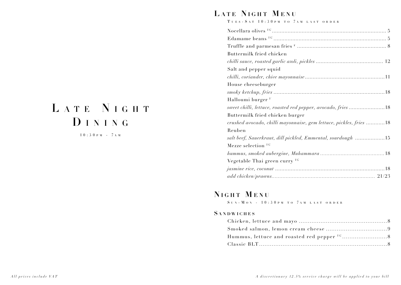# LATE NIGHT DINING

 $10:30 P M - 7 A M$ 

## LATE NIGHT MENU

TUES - SAT 10:30PM TO 7AM LAST ORDER

## NIGHT MENU

SUN-MON - 10:30PM TO 7AM LAST ORDER

#### **SANDWICHES**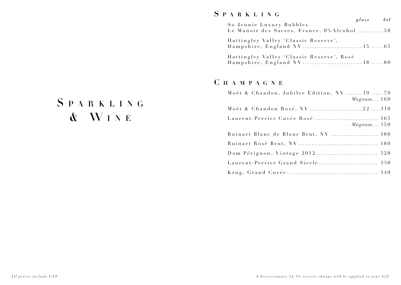## S P A R K L I N G

| So Jennie Luxury Bubbles                    | glass btl |  |
|---------------------------------------------|-----------|--|
| Le Manoir des Sacres, France, 0%Alcohol  58 |           |  |
| Hattingley Valley 'Classic Reserve',        |           |  |
| Hattingley Valley 'Classic Reserve', Rosé   |           |  |

## C H A M P A G N E

| Moët & Chandon, Jubilee Edition, NV 19  79<br>Magnum 160 |
|----------------------------------------------------------|
| Moët & Chandon Rosé, NV 22 110                           |
| Magnum350                                                |
| Ruinart Blanc de Blanc Brut, NV  180                     |
|                                                          |
|                                                          |
|                                                          |
|                                                          |

# SPARKLING & WINE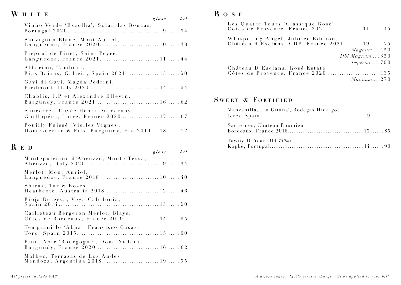# WHITE

|                                                                                      | $_{glass}$ | btl |
|--------------------------------------------------------------------------------------|------------|-----|
| Vinho Verde 'Escolha', Solar das Boucas,                                             |            |     |
| Sauvignon Blanc, Mont Auriol,<br>Languedoc, France 2020 10  38                       |            |     |
| Picpoul de Pinet, Saint Peyre,<br>Languedoc, France 2021 11  44                      |            |     |
| Albariño, Tambora,<br>Rias Baixas, Galicia, Spain 2021  13  50                       |            |     |
| Gavi di Gavi, Magda Pedrini,<br>Piedmont, Italy 2020  14  54                         |            |     |
| Chablis, J.P et Alexandre Ellevin,<br>Burgundy, France 2021  16  62                  |            |     |
| Sancerre, 'Cuvée Henri Du Vernoy',<br>Guillopées, Loire, France 2020  17  67         |            |     |
| Pouilly Fuissé 'Vielles Vignes',<br>Dom. Guerrin & Fils, Burgundy, Fra. 2019  18  72 |            |     |

# $\mathbf R$ E D

| r. I.D                                                                       | $glass \t btl$ |  |
|------------------------------------------------------------------------------|----------------|--|
| Montepulciano d'Abruzzo, Monte Tessa,                                        |                |  |
| Merlot, Mont Auriol,<br>Languedoc, France 2018  10  40                       |                |  |
| Shiraz, Tar & Roses,<br>Heathcote, Australia 2018 12  46                     |                |  |
| Rioja Reserva, Vega Caledonia,                                               |                |  |
| Cailleteau Bergeron Merlot, Blaye,<br>Côtes de Bordeaux, France 2019  14  55 |                |  |
| Tempranillo 'Abba', Francisco Casas,                                         |                |  |
| Pinot Noir 'Bourgogne', Dom. Nudant,<br>Burgundy, France 2020  16  62        |                |  |
| Malbec, Terrazas de Los Andes,<br>Mendoza, Argentina 2018 19  75             |                |  |

# $\mathbf R$ o s É

| Les Quatre Tours 'Classique Rose'<br>Côtes de Provence, France 2021  11  45     |            |
|---------------------------------------------------------------------------------|------------|
| Whispering Angel, Jubilee Edition,<br>Château d'Esclans, CDP, France 202119  75 |            |
|                                                                                 | Magnum 150 |
| $Dbl$ Magnum 350                                                                |            |
|                                                                                 |            |
| Château D'Esclans, Rosé Estate                                                  |            |
|                                                                                 |            |
|                                                                                 | Magnum 270 |

### SWEET & FORTIFIED

| Manzanilla, 'La Gitana', Bodegas Hidalgo, |  |
|-------------------------------------------|--|
| Sauternes, Château Roumieu                |  |
| Tawny 10 Year Old 750ml                   |  |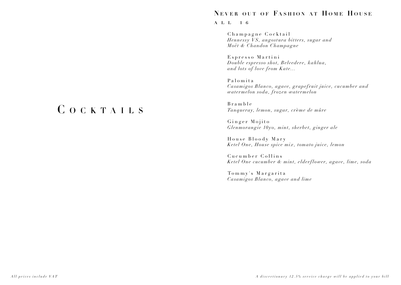#### **NEVER OUT OF FASHION AT HOME HOUSE**

#### all 16

Champagne Cocktail *Hennessy VS, an gost ura bit ters, su gar and Moët & Chandon Champagne*

Espresso Martini *Double espresso shot, Belvedere, kahlua, and lots of love from Kate ...*

Palomita *Casamigos Blanco, agave, grapefruit juice, cucumber and watermelon soda, frozen watermelon*

Bramble *Tanqueray, lemon, su gar, cr*è*me de mûre* 

Ginger Mojito *Glenmorangie 10yo, mint, sherbet, ginger ale*

House Bloody Mary *Ketel One, House spice mix, tomato juice, lemon*

Cucumber Collins *Ketel One cucumber & mint, elderflower, agave, lime, soda*

 Tommy's Margarita *Casamigos Blanco, agave and lime*

# C O C K T A I L S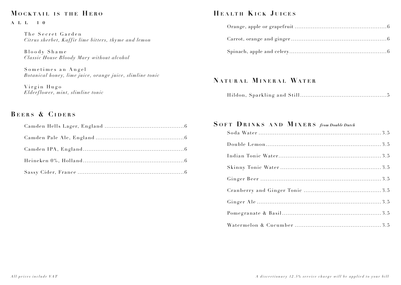### MOCKTAIL IS THE HERO

#### $A L L 1 0$

The Secret Garden Citrus sherbet, Kaffir lime bitters, thyme and lemon

Bloody Shame Classic House Bloody Mary without alcohol

Sometimes an Angel Botanical honey, lime juice, orange juice, slimline tonic

Virgin Hugo Elderflower, mint, slimline tonic

### **BEERS & CIDERS**

### HEALTH KICK JUICES

### NATURAL MINERAL WATER

|--|--|--|--|

### SOFT DRINKS AND MIXERS from Double Dutch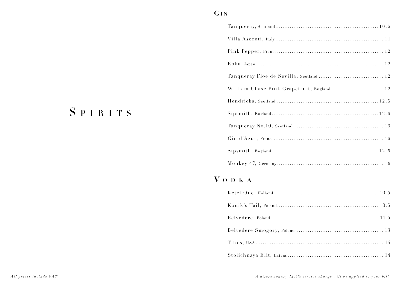### $GIN$

| ${\bf Roku, Japan.}\label{thm:12} .$      |
|-------------------------------------------|
|                                           |
| William Chase Pink Grapefruit, England 12 |
|                                           |
|                                           |
|                                           |
|                                           |
|                                           |
|                                           |

# VODKA

# SPIRITS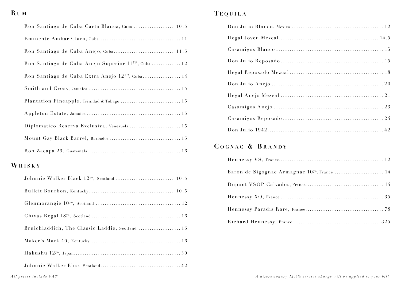## $RUM$

| Ron Santiago de Cuba Carta Blanca, Cuba  10.5                  |  |
|----------------------------------------------------------------|--|
|                                                                |  |
|                                                                |  |
| Ron Santiago de Cuba Anejo Superior 11 <sup>ro</sup> , Cuba 12 |  |
| Ron Santiago de Cuba Extra Anejo 12 <sup>10</sup> , Cuba 14    |  |
|                                                                |  |
| Plantation Pineapple, Trinidad & Tobago  15                    |  |
|                                                                |  |
| Diplomatico Reserva Exclusiva, Venezuela  15                   |  |
|                                                                |  |
|                                                                |  |

# WHISKY

| Bruichladdich, The Classic Laddie, Scotland 16 |
|------------------------------------------------|
|                                                |
|                                                |
|                                                |

## TEQUILA

# COGNAC & BRANDY

| Baron de Sigognac Armagnac 10 <sup>yo</sup> , France 14 |
|---------------------------------------------------------|
|                                                         |
|                                                         |
|                                                         |
|                                                         |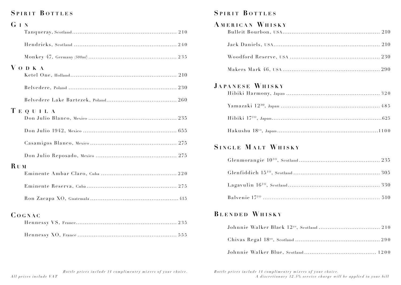### SPIRIT BOTTLES

| GIN        |           |
|------------|-----------|
|            |           |
|            |           |
|            |           |
|            | V o d k a |
|            |           |
|            |           |
|            | TEQUILA   |
|            |           |
|            |           |
|            |           |
|            |           |
| <b>RUM</b> |           |
|            |           |
|            |           |
|            |           |
|            | COGNAC    |
|            |           |
|            |           |

### SPIRIT BOTTLES

| AMERICAN WHISKY       |
|-----------------------|
|                       |
|                       |
|                       |
| JAPANESE WHISKY       |
|                       |
|                       |
|                       |
| SINGLE MALT WHISKY    |
|                       |
|                       |
|                       |
|                       |
| <b>BLENDED WHISKY</b> |

Bottle prices include 14 complimentry mixers of your choice.

Bottle prices include 14 complimentry mixers of your choice. A discretionary 12.5% service charge will be applied to your bill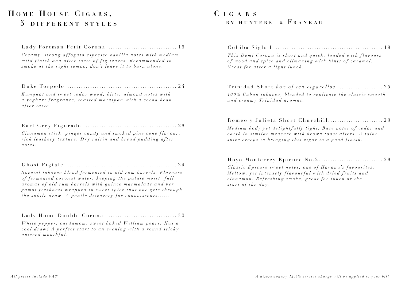# HOME HOUSE CIGARS. 5 DIFFERENT STYLES

#### 

Creamy, strong affogato espresso vanilla notes with medium mild finish and after taste of fig leaves. Recommended to smoke at the right tempo, don't leave it to burn alone.

Kumquat and sweet cedar wood, bitter almond notes with a yoghurt fragrance, toasted marzipan with a cocoa bean after taste

#### 

Cinnamon stick, ginger candy and smoked pine cone flavour, rich leathery texture. Dry raisin and bread pudding after  $notes.$ 

Special tobacco blend fermented in old rum barrels. Flavours of fermented coconut water, keeping the palate moist, full aromas of old rum barrels with quince marmalade and ber gamot freshness wrapped in sweet spice that one gets through the subtle draw. A gentle discovery for connoisseurs......

Lady Home Double Corona .................................30

White pepper, cardamom, sweet baked William pears. Has a cool draw! A perfect start to an evening with a round sticky aniseed mouthful.

### $CIGARS$ BY HUNTERS & FRANKAU

This Demi Corona is short and quick, loaded with flavours of wood and spice and climaxing with hints of caramel. Great for after a light lunch.

#### 

100% Cuban tobacco, blended to replicate the classic smooth and creamy Trinidad aromas.

#### Romeo y Julieta Short Churchill............................. 29

Medium body yet delightfully light. Base notes of cedar and earth in similar measure with brown toast afters. A faint spice creeps in bringing this cigar to a good finish.

#### 

Classic Epicure sweet notes, one of Havana's favourites. Mellow, yet intensely flavourful with dried fruits and cinnamon. Refreshing smoke, great for lunch or the start of the day.